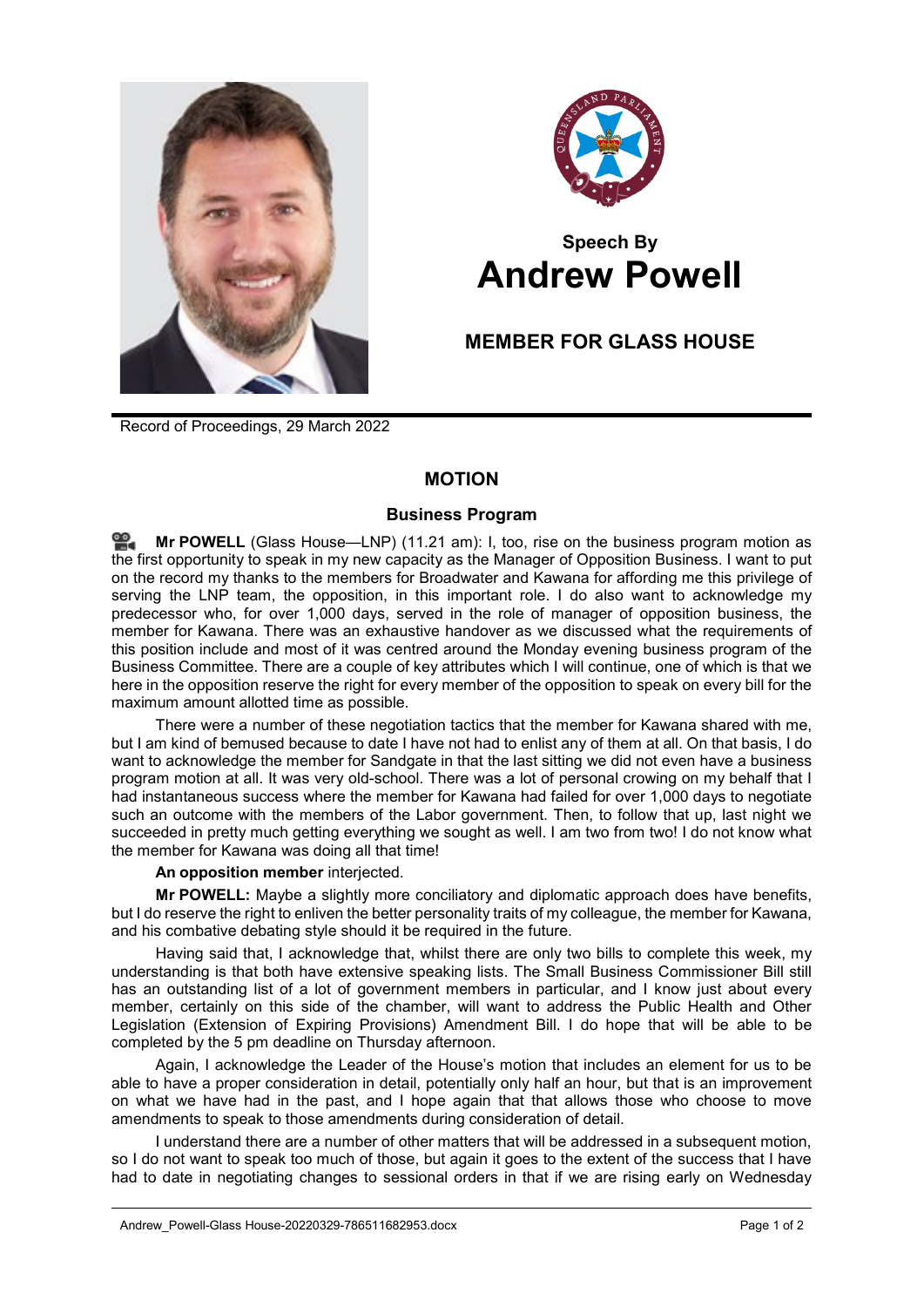



# **Speech By Andrew Powell**

## **MEMBER FOR GLASS HOUSE**

Record of Proceedings, 29 March 2022

### **MOTION**

#### **Business Program**

≌. **Mr [POWELL](http://www.parliament.qld.gov.au/docs/find.aspx?id=0Mba20220329_112156)** (Glass House—LNP) (11.21 am): I, too, rise on the business program motion as the first opportunity to speak in my new capacity as the Manager of Opposition Business. I want to put on the record my thanks to the members for Broadwater and Kawana for affording me this privilege of serving the LNP team, the opposition, in this important role. I do also want to acknowledge my predecessor who, for over 1,000 days, served in the role of manager of opposition business, the member for Kawana. There was an exhaustive handover as we discussed what the requirements of this position include and most of it was centred around the Monday evening business program of the Business Committee. There are a couple of key attributes which I will continue, one of which is that we here in the opposition reserve the right for every member of the opposition to speak on every bill for the maximum amount allotted time as possible.

There were a number of these negotiation tactics that the member for Kawana shared with me, but I am kind of bemused because to date I have not had to enlist any of them at all. On that basis, I do want to acknowledge the member for Sandgate in that the last sitting we did not even have a business program motion at all. It was very old-school. There was a lot of personal crowing on my behalf that I had instantaneous success where the member for Kawana had failed for over 1,000 days to negotiate such an outcome with the members of the Labor government. Then, to follow that up, last night we succeeded in pretty much getting everything we sought as well. I am two from two! I do not know what the member for Kawana was doing all that time!

#### **An opposition member** interjected.

**Mr POWELL:** Maybe a slightly more conciliatory and diplomatic approach does have benefits, but I do reserve the right to enliven the better personality traits of my colleague, the member for Kawana, and his combative debating style should it be required in the future.

Having said that, I acknowledge that, whilst there are only two bills to complete this week, my understanding is that both have extensive speaking lists. The Small Business Commissioner Bill still has an outstanding list of a lot of government members in particular, and I know just about every member, certainly on this side of the chamber, will want to address the Public Health and Other Legislation (Extension of Expiring Provisions) Amendment Bill. I do hope that will be able to be completed by the 5 pm deadline on Thursday afternoon.

Again, I acknowledge the Leader of the House's motion that includes an element for us to be able to have a proper consideration in detail, potentially only half an hour, but that is an improvement on what we have had in the past, and I hope again that that allows those who choose to move amendments to speak to those amendments during consideration of detail.

I understand there are a number of other matters that will be addressed in a subsequent motion, so I do not want to speak too much of those, but again it goes to the extent of the success that I have had to date in negotiating changes to sessional orders in that if we are rising early on Wednesday